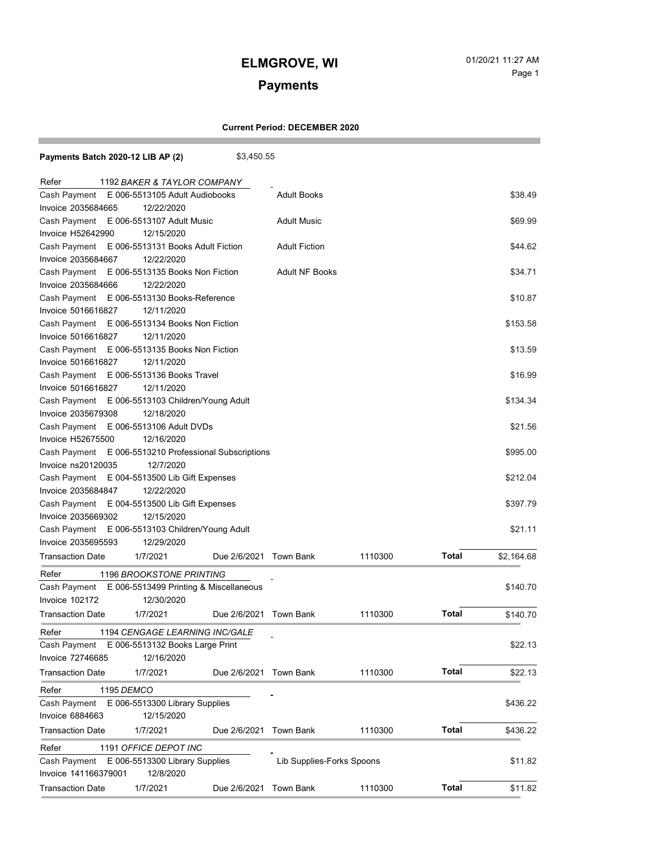# **Payments**

and the state of the state of the state

÷

### **Current Period: DECEMBER 2020**

| Payments Batch 2020-12 LIB AP (2)                          | \$3,450.55                |                       |         |              |            |  |
|------------------------------------------------------------|---------------------------|-----------------------|---------|--------------|------------|--|
| 1192 BAKER & TAYLOR COMPANY<br>Refer                       |                           |                       |         |              |            |  |
| E 006-5513105 Adult Audiobooks<br>Cash Payment             |                           | <b>Adult Books</b>    |         |              | \$38.49    |  |
| Invoice 2035684665<br>12/22/2020                           |                           |                       |         |              |            |  |
| Cash Payment E 006-5513107 Adult Music                     |                           | <b>Adult Music</b>    |         |              | \$69.99    |  |
| Invoice H52642990<br>12/15/2020                            |                           |                       |         |              |            |  |
| Cash Payment E 006-5513131 Books Adult Fiction             |                           | <b>Adult Fiction</b>  |         |              | \$44.62    |  |
| 12/22/2020<br>Invoice 2035684667                           |                           |                       |         |              |            |  |
| Cash Payment E 006-5513135 Books Non Fiction               |                           | <b>Adult NF Books</b> |         |              | \$34.71    |  |
| 12/22/2020<br>Invoice 2035684666                           |                           |                       |         |              |            |  |
| Cash Payment E 006-5513130 Books-Reference                 |                           |                       |         |              | \$10.87    |  |
| 12/11/2020<br>Invoice 5016616827                           |                           |                       |         |              |            |  |
| Cash Payment E 006-5513134 Books Non Fiction               |                           |                       |         |              | \$153.58   |  |
| Invoice 5016616827<br>12/11/2020                           |                           |                       |         |              |            |  |
| Cash Payment E 006-5513135 Books Non Fiction               |                           |                       |         |              | \$13.59    |  |
| 12/11/2020<br>Invoice 5016616827                           |                           |                       |         |              |            |  |
| Cash Payment E 006-5513136 Books Travel                    |                           |                       |         |              | \$16.99    |  |
| Invoice 5016616827<br>12/11/2020                           |                           |                       |         |              |            |  |
| Cash Payment E 006-5513103 Children/Young Adult            |                           |                       |         |              | \$134.34   |  |
| Invoice 2035679308<br>12/18/2020                           |                           |                       |         |              |            |  |
| Cash Payment E 006-5513106 Adult DVDs                      |                           |                       |         |              | \$21.56    |  |
| Invoice H52675500<br>12/16/2020                            |                           |                       |         |              |            |  |
| Cash Payment E 006-5513210 Professional Subscriptions      |                           |                       |         |              | \$995.00   |  |
| Invoice ns20120035<br>12/7/2020                            |                           |                       |         |              |            |  |
| Cash Payment E 004-5513500 Lib Gift Expenses               |                           |                       |         |              |            |  |
| 12/22/2020<br>Invoice 2035684847                           |                           |                       |         |              |            |  |
| Cash Payment E 004-5513500 Lib Gift Expenses               |                           |                       |         |              |            |  |
| Invoice 2035669302<br>12/15/2020                           |                           |                       |         |              |            |  |
| Cash Payment E 006-5513103 Children/Young Adult<br>\$21.11 |                           |                       |         |              |            |  |
| 12/29/2020<br>Invoice 2035695593                           |                           |                       |         |              |            |  |
| <b>Transaction Date</b><br>1/7/2021                        | Due 2/6/2021 Town Bank    |                       | 1110300 | Total        | \$2,164.68 |  |
| 1196 BROOKSTONE PRINTING<br>Refer                          |                           |                       |         |              |            |  |
| Cash Payment E 006-5513499 Printing & Miscellaneous        |                           |                       |         |              |            |  |
| Invoice 102172<br>12/30/2020                               |                           |                       |         |              | \$140.70   |  |
| Transaction Date<br>1/7/2021                               | Due 2/6/2021 Town Bank    |                       | 1110300 | <b>Total</b> | \$140.70   |  |
| Refer<br>1194 CENGAGE LEARNING INC/GALE                    |                           |                       |         |              |            |  |
| Cash Payment<br>E 006-5513132 Books Large Print            |                           |                       |         |              |            |  |
| Invoice 72746685<br>12/16/2020                             |                           |                       |         |              | \$22.13    |  |
| Transaction Date<br>1/7/2021                               | Due 2/6/2021 Town Bank    |                       | 1110300 | <b>Total</b> | \$22.13    |  |
|                                                            |                           |                       |         |              |            |  |
| Refer<br>1195 DEMCO                                        |                           |                       |         |              |            |  |
| E 006-5513300 Library Supplies<br>Cash Payment             |                           |                       |         | \$436.22     |            |  |
| <b>Invoice 6884663</b><br>12/15/2020                       |                           |                       |         |              |            |  |
| <b>Transaction Date</b><br>1/7/2021                        | Due 2/6/2021 Town Bank    |                       | 1110300 | <b>Total</b> | \$436.22   |  |
| Refer<br>1191 OFFICE DEPOT INC                             |                           |                       |         |              |            |  |
| E 006-5513300 Library Supplies<br>Cash Payment             | Lib Supplies-Forks Spoons |                       |         | \$11.82      |            |  |
| Invoice 141166379001<br>12/8/2020                          |                           |                       |         |              |            |  |
| <b>Transaction Date</b><br>1/7/2021                        | Due 2/6/2021 Town Bank    |                       | 1110300 | <b>Total</b> | \$11.82    |  |